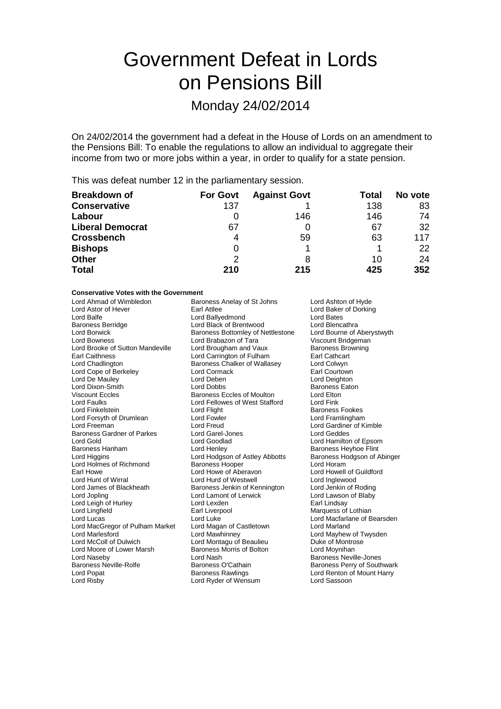# Government Defeat in Lords on Pensions Bill

## Monday 24/02/2014

On 24/02/2014 the government had a defeat in the House of Lords on an amendment to the Pensions Bill: To enable the regulations to allow an individual to aggregate their income from two or more jobs within a year, in order to qualify for a state pension.

This was defeat number 12 in the parliamentary session.

| <b>Breakdown of</b>     | <b>For Govt</b> | <b>Against Govt</b> | Total | No vote |
|-------------------------|-----------------|---------------------|-------|---------|
| <b>Conservative</b>     | 137             |                     | 138   | 83      |
| Labour                  |                 | 146                 | 146   | 74      |
| <b>Liberal Democrat</b> | 67              |                     | 67    | 32      |
| <b>Crossbench</b>       | 4               | 59                  | 63    | 117     |
| <b>Bishops</b>          | O               |                     |       | 22      |
| <b>Other</b>            | 2               | 8                   | 10    | 24      |
| <b>Total</b>            | 210             | 215                 | 425   | 352     |

#### **Conservative Votes with the Government**

| Lord Ahmad of Wimbledon           | Baroness Anelay of St Johns       | Lord Ashton of Hyde         |
|-----------------------------------|-----------------------------------|-----------------------------|
| Lord Astor of Hever               | Earl Attlee                       | Lord Baker of Dorkin        |
| Lord Balfe                        | Lord Ballyedmond                  | Lord Bates                  |
| <b>Baroness Berridge</b>          | Lord Black of Brentwood           | Lord Blencathra             |
| Lord Borwick                      | Baroness Bottomley of Nettlestone | Lord Bourne of Abery        |
| <b>Lord Bowness</b>               | Lord Brabazon of Tara             | Viscount Bridgeman          |
| Lord Brooke of Sutton Mandeville  | Lord Brougham and Vaux            | <b>Baroness Browning</b>    |
| <b>Earl Caithness</b>             | Lord Carrington of Fulham         | Earl Cathcart               |
| Lord Chadlington                  | Baroness Chalker of Wallasey      | Lord Colwyn                 |
| Lord Cope of Berkeley             | Lord Cormack                      | Earl Courtown               |
| Lord De Mauley                    | Lord Deben                        | Lord Deighton               |
| Lord Dixon-Smith                  | <b>Lord Dobbs</b>                 | <b>Baroness Eaton</b>       |
| <b>Viscount Eccles</b>            | <b>Baroness Eccles of Moulton</b> | Lord Elton                  |
| <b>Lord Faulks</b>                | Lord Fellowes of West Stafford    | Lord Fink                   |
| Lord Finkelstein                  | Lord Flight                       | Baroness Fookes             |
| Lord Forsyth of Drumlean          | Lord Fowler                       | Lord Framlingham            |
| Lord Freeman                      | Lord Freud                        | Lord Gardiner of Kim        |
| <b>Baroness Gardner of Parkes</b> | Lord Garel-Jones                  | Lord Geddes                 |
| Lord Gold                         | Lord Goodlad                      | Lord Hamilton of Eps        |
| Baroness Hanham                   | Lord Henley                       | Baroness Heyhoe Fli         |
| Lord Higgins                      | Lord Hodgson of Astley Abbotts    | Baroness Hodgson o          |
| Lord Holmes of Richmond           | <b>Baroness Hooper</b>            | Lord Horam                  |
| Earl Howe                         | Lord Howe of Aberavon             | Lord Howell of Guildf       |
| Lord Hunt of Wirral               | Lord Hurd of Westwell             | Lord Inglewood              |
| Lord James of Blackheath          | Baroness Jenkin of Kennington     | Lord Jenkin of Rodin        |
| Lord Jopling                      | Lord Lamont of Lerwick            | Lord Lawson of Blab         |
| Lord Leigh of Hurley              | Lord Lexden                       | Earl Lindsay                |
| Lord Lingfield                    | Earl Liverpool                    | Marquess of Lothian         |
| Lord Lucas                        | Lord Luke                         | Lord Macfarlane of B        |
| Lord MacGregor of Pulham Market   | Lord Magan of Castletown          | Lord Marland                |
| Lord Marlesford                   | Lord Mawhinney                    | Lord Mayhew of Twy          |
| Lord McColl of Dulwich            | Lord Montagu of Beaulieu          | Duke of Montrose            |
| Lord Moore of Lower Marsh         | Baroness Morris of Bolton         | Lord Moynihan               |
| Lord Naseby                       | Lord Nash                         | <b>Baroness Neville-Jor</b> |
| <b>Baroness Neville-Rolfe</b>     | Baroness O'Cathain                | Baroness Perry of So        |
| Lord Popat                        | <b>Baroness Rawlings</b>          | Lord Renton of Mour         |
| Lord Risby                        | Lord Ryder of Wensum              | Lord Sassoon                |
|                                   |                                   |                             |

Lord Baker of Dorking Lord Bates Lord Blencathra Lord Bourne of Aberystwyth Viscount Bridgeman Baroness Browning Earl Cathcart Lord Colwyn Earl Courtown Lord Deighton Baroness Eaton Lord Elton<br>Lord Fink Baroness Fookes Lord Framlingham Lord Gardiner of Kimble Lord Geddes Lord Hamilton of Epsom Baroness Heyhoe Flint Baroness Hodgson of Abinger Lord Horam Lord Howell of Guildford Lord Inglewood Lord Jenkin of Roding Lord Lawson of Blaby Earl Lindsay Marquess of Lothian Lord Macfarlane of Bearsden Lord Marland Lord Mayhew of Twysden Duke of Montrose Lord Moynihan Baroness Neville-Jones Baroness Perry of Southwark Lord Renton of Mount Harry Lord Risby Lord Ryder of Wensum Lord Sassoon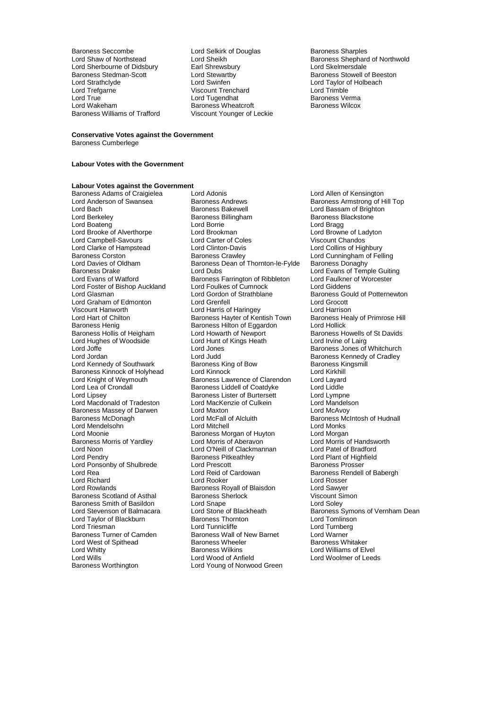Baroness Seccombe **Lord Selkirk of Douglas** Baroness Sharples<br>
Lord Shaw of Northstead **Lord Sheikh** Baroness Shephard Lord Sherbourne of Didsbury Earl Shrewsbury<br>Baroness Stedman-Scott Lord Stewartby Baroness Stedman-Scott Lord Stewartby Baroness Stowell of Beeston Lord Strathclyde Lord Swinfen Lord Taylor of Holbeach Lord Trefgarne Viscount Trenchard Lord Trimble Lord True **Communist Cluber Lord Tugendhat** Baroness Verma<br>
Lord Wakeham **Baroness Wheatcroft** Baroness Wilcox Baroness Williams of Trafford

Baroness Wheatcroft<br>Viscount Younger of Leckie

Lord Sheikh <sup>of C</sup>ord Shephard of Northwold<br>Earl Shrewsbury **Example Shephard Shephard Shephard Shephard Shephard Shephard Shephard Shephard Shephard Shephard Shephard Shephard Shephard Shephard Shephard Shephard Shephard** 

### **Conservative Votes against the Government**

Baroness Cumberlege

#### **Labour Votes with the Government**

## **Labour Votes against the Government**

Lord Clarke of Hampstead Lord Clinton-Davis<br>
Baroness Corston Baroness Crawley Lord Foster of Bishop Auckland Lord Foulkes of Cumnock<br>
Lord Giasman Lord Gordon of Strathblane Baroness Henig Baroness Hilton of Eggardon<br>Baroness Hollis of Heigham Lord Howarth of Newport Lord Hughes of Woodside Lord Hunt of Kings Heath<br>Lord Joffe Baroness Massey of Darwen Lord Maxton<br>
Baroness McDonagh Lord McFall of Alcluith Lord Noon Lord O'Neill of Clackmannan<br>
Lord Pendry Corporation Baroness Pitkeathley Lord Ponsonby of Shulbrede Lord Prescott<br>
Lord Rea<br>
Lord Reid of Cardowan Baroness Smith of Basildon<br>
Lord Stevenson of Balmacara<br>
Lord Stone of Blackheath Lord West of Spithead Baroness Wheeler Baroness Wheeler Baroness Wheeler Baroness Wilkins Lord Wills **Community Lord Wood of Anfield** Lord Woolmer of Leeds Baroness Worthington **Leads** Lord Young of Norwood Green

Baroness Adams of Craigielea Lord Adonis<br>
Lord Anderson of Swansea Baroness Andrews Baroness Amstrong of H Lord Anderson of Swansea **Baroness Andrews** Baroness American Baroness Armstrong of Hill Top<br>
Lord Bach Baroness Baroness Bakewell **Baroness Baroness Bakewell** Lord Bassam of Brighton Lord Bach Baroness Bakewell **Communist Baroness Bakewell**<br>
Lord Berkeley **Baroness Bakewell** Baroness Blackstone Baroness Backstone Baroness Billingham Baroness Blackstone<br>
Lord Bragg<br>
Lord Brookman Baroness Blackstone<br>
Lord Browne of Ladyton Lord Boateng Lord Borrie Lord Bragg Lord Brooke of Alverthorpe Lord Brookman Lord Browne of Ladyton Lord Campbell-Savours 
Lord Carter of Coles<br>
Lord Clarke of Hampstead
Lord Clinton-Davis

Lord Collins of Highbury Baroness Corston **Baroness Crawley** Lord Cunningham of Felling<br>
Lord Davies of Oldham **Baroness Dean of Thornton-le-Fylde** Baroness Donaghy Lord Davies of Oldham Baroness Dean of Thornton-le-Fylde<br>Baroness Drake Lord Dubs<br>Baroness Drake Lord Dubs Baroness Drake Lord Cord Dubs Lord Dubs Lord Evans of Temple Guiting<br>Lord Evans of Watford Lord Baroness Farrington of Ribbleton Lord Faulkner of Worcester Baroness Farrington of Ribbleton Lord Faulkner<br>
Lord Foulkes of Cumnock Lord Giddens Lord Gordon of Strathblane Baroness Gould of Potternewton<br>Lord Grenfell Lord Grocott Lord Graham of Edmonton Lord Grenfell Lord Grocott Viscount Hanworth **Lord Harris of Haringey** Lord Harrison<br>
Lord Hart of Chilton **Communist Communist Corress Hayter of Kentish Town** Baroness Healy of Primrose Hill Lord Hart of Chilton **Baroness Hayter of Kentish Town** Baroness H<br>Baroness Henig **Baroness Hilton of Eggardon** Lord Hollick Baroness Hollis of Heigham Lord Howarth of Newport Baroness Howells of St Davids<br>
Lord Hughes of Woodside Lord Hunt of Kings Heath Lord Irvine of Lairg Lord Hughes of Woodside<br>
Lord Hunt of Kings Heath<br>
Lord Jones Baroness Jones of Whitchurch<br>
Lord Jones Baroness Jones of Whitchurch<br>
Lord Jones Baroness Kennedy of Cradley Lord Judd<br>
Baroness King of Bow Baroness Kingsmill<br>
Baroness Kingsmill Lord Kennedy of Southwark **Baroness King of Bow** Baroness Kingsmill Baroness Kingsmille Baroness Kingsmille Baroness Kingsmille Baroness Kingsmille Baroness Kingsmille Baroness Kingsmille Baroness Kingsmille Baroness Kings Baroness Kinnock of Holyhead Lord Kinnock Cord Kinnock Lord Kinkhill<br>
Lord Knight of Weymouth Baroness Lawrence of Clarendon Lord Layard Lord Knight of Weymouth **Baroness Lawrence of Clarendon** Lord Layard<br>
Lord Lea of Crondall **Baroness Liddell of Coatdyke** Lord Liddle Lord Lea of Crondall **Baroness Liddell of Coatdyke** Lord Liddle<br>
Lord Lipsey **Baroness Lister of Burtersett** Lord Lympne Lord Lipsey Baroness Lister of Burtersett Lord Lympne Lord Macdonald of Tradeston<br>
Lord MacKenzie of Culkein Lord Mandels<br>
Baroness Massey of Darwen Lord Maxton<br>
Lord Maxton Lord Maxton Lord McFall of Alcluith Baroness McIntosh of Hudnall<br>
Lord Mitchell Cord Monks Lord Mendelsohn **Lord Mitchell** Lord Mitchell **Lord Monks**<br>
Lord Moonie **Concess Mongan** of Huyton Lord Morgan Baroness Morgan of Huyton Lord Morgan<br>Lord Morris of Aberavon Lord Morris of Handsworth Baroness Morris of Yardley Lord Morris of Aberavon Lord Morris of Handsw<br>Lord Noon Lord O'Neill of Clackmannan Lord Patel of Bradford Baroness Pitkeathley **Lord Plant of Highfield**<br>
Lord Prescott **Baroness Prosser** Lord Reid of Cardowan Baroness Rendell of Babergh<br>
Lord Rooker<br>
Lord Rosser Lord Richard **Communist Communist Lord Rooker** Lord Rosser<br>
Lord Rowlands **Communist Communist Communist Communist Communist Communist Communist Communist Communist Communist Communist Communist Communist Communist Communi** Exaroness Royall of Blaisdon Lord Sawyer<br>
Baroness Sherlock Corress Consult Simon Baroness Scotland of Asthal Baroness Sherlock Controller Scotland Scotland Scotland Baroness Sherlock Controller<br>Baroness Smith of Basildon Cord Shape Controller Scotland Scotland Scotland Scotland Scotland Scotland Scotla Lord Taylor of Blackburn **Baroness Thornton** Cord Tomlinson<br>
Lord Triesman **Baroness Thornton Cord Turness**<br>
Lord Turnberg Lord Triesman Lord Tunnicliffe Lord Tunber<br>
Baroness Turner of Camden Baroness Wall of New Barnet Lord Warner Baroness Wall of New Barnet Lord Warner Caroness Whitaker<br>Baroness Wheeler Barness Whitaker Lord Whitty **Communist Communist Communist Communist Communist Communist Communist Communist Communist Communist**<br>Lord Wills Communist Communist Communist Communist Communist Communist Communist Communist Communist Communi Lord Young of Norwood Green

Lord Stone of Blackheath Baroness Symons of Vernham Dean<br>Baroness Thornton Baroness Symons of Vernham Dean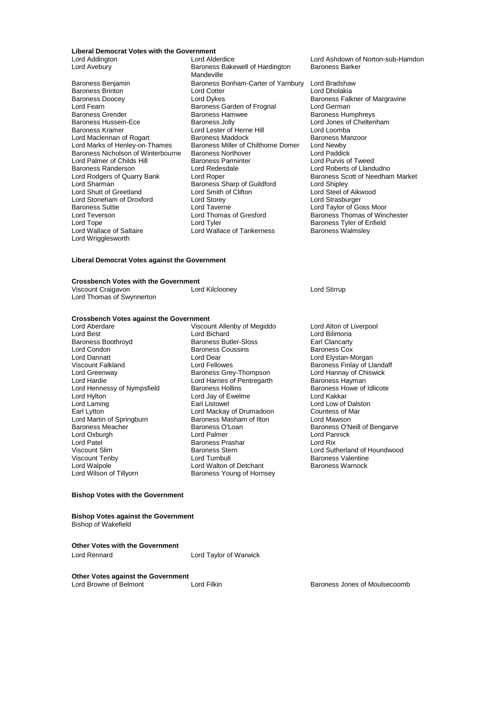## **Liberal Democrat Votes with the Government**

Baroness Brinton Lord Cotter<br>
Baroness Doocey Lord Dykes Lord Fearn Theory Control Baroness Garden of Frognal Baroness Hamwee<br>
Baroness Grender Control Baroness Hamwee Lord Palmer of Childs Hill Baroness Parminter Baroness Parminter Baroness Parminter Burris of Tweedesdale Lord Stoneham of Droxford Lord Storey<br>
Baroness Suttie Lord Taverne Lord Wallace of Saltaire Lord Wrigglesworth

Lord Addington **Lord Alderdice** Lord Ashdown of Norton-sub-Hamdon<br>
Lord Avebury **Constant Construent Bandon**<br>
Lord Avebury **Construent Bandon**<br>
Lord Avebury Baroness Bakewell of Hardington Mandeville Baroness Benjamin Baroness Bonham-Carter of Yarnbury Lord Bradshaw<br>Baroness Brinton **Baroness Brinton** Lord Cotter Lord Dholakia Baroness Doocey **Example 2 Example 2 Lord Dykes** Baroness Falkner of Margravine<br>
Lord Fearn **Baroness Garden of Frognal** Lord German Baroness Grender The Baroness Hamwee Baroness Hambleys Baroness Hussein-Ece **Baroness Jolly Lord Jones of Cheltenham** Baroness Kramer Lord Lester of Herne Hill Lord Loomba Lord Maclennan of Rogart Baroness Maddock Baroness Manazoor Baroness Manazoor Baroness M<br>Baroness Miller of Chilthorne Domer Baroness Miller of Chilthorne Domer Lord Newby Lord Marks of Henley-on-Thames Baroness Miller of Chilthorne Domer Lord Newby<br>Baroness Nicholson of Winterbourne Baroness Northover Lord Paddick Baroness Nicholson of Winterbourne Baroness Northover Lord Paddick Baroness Randerson **Lord Redesdale** Lord Roberts of Llandudno<br>
Lord Rodgers of Quarry Bank Lord Roper<br>
Lord Robert Baroness Scott of Needhan Lord Rodgers of Quarry Bank Lord Roper **Baroness Scott of Needham Market**<br>
Lord Sharman **Baroness Sharp of Guildford** Lord Shipley Exaroness Sharp of Guildford Lord Shipley<br>
Lord Smith of Clifton Lord Steel of Aikwood Lord Shutt of Greetland Lord Smith of Clifton Lord Steel of Aikwood Lord Steel of Aikwood Lord Strasburger<br>
Lord Store Lord Steel Cord Strasburger Baroness Suttie Lord Taverne Lord Taylor of Goss Moor Lord Teverson Lord Thomas of Gresford Baroness Thomas of Winchester<br>
Lord Tope Cord Tyler Baroness Tyler of Fnfield Lord Tyler<br>
Lord Wallace of Tankerness<br>
Baroness Walmsley

#### **Liberal Democrat Votes against the Government**

## **Crossbench Votes with the Government**<br>Viscount Craigavon Lord Kilclooney

Viscount Craigavon Lord Kilclooney Lord Stirrup Lord Thomas of Swynnerton

## **Crossbench Votes against the Government**

Lord Condon Baroness Coussins<br>
Lord Dannatt Lord Dear<br>
Lord Dear Lord Hylton Lord Jay of Ewelme<br>
Lord Laming Lord Latter Lord Latter Lord Laming Lord Martin of Springburn Baroness Mashar<br>Baroness Meacher Baroness O'Loan Lord Patel The State of Baroness Prashar Lord Patel Baroness Stern Charles Charles Charles Stern Lord Rix Baroness Stern Lord Rix Annual State Charles Stern Lord Rix Annual State Charles Stern Lord Rix Annual State Charles

Lord Aberdare The Viscount Allenby of Megiddo Lord Alton of Liverpool<br>
Lord Best Lord Alton Cord Billimoria Lord Best Lord Bichard Lord Bichard<br>
Baroness Boothroyd Baroness Butler-Sloss Lord Bilimoria<br>
Lord Baroness Butler-Sloss Lord Baroness Butler-Sloss Baroness Boothroyd **Baroness Butler-Sloss** Earl Clancarty<br>
Lord Condon **Baroness Coussins** Baroness Cox Lord Dannatt<br>Lord Dannatt **Lord Dear Lord Dear Lord Elystan-Morgan**<br>Viscount Falkland Lord Fellowes Lord Baroness Finlav of Lla Viscount Falkland **Viscount Falkland** Lord Fellowes **Baroness Finlay of Llandaff**<br>
Lord Greenway **Baroness Grey-Thompson** Lord Hannay of Chiswick Lord Greenway **Baroness Grey-Thompson** Lord Hannay of Chief Chief Chief Chief Chief Chief Chief Chief Cord Hannay Cord Hannay Of Chief Chief Chief Chief Chief Chief Chief Chief Chief Chief Chief Chief Chief Chief Chief Chi Lord Harries of Pentregarth Baroness Hayman<br>Baroness Hollins Baroness Howe of Idlicote Lord Hennessy of Nympsfield Baroness Hollins Baroness Hollins Baroness Hollins Baroness Hollins Baroness Hollins Baroness Hollins Baroness Hollins Baroness Hollins Baroness Hollins Baroness Hollins Baroness Hollins Barones Lord Laming Earl Listowel Lord Low of Dalston Lord Mackay of Drumadoon Countess of Mackay of Drumadoon Countess of Marchaeon Countess of Marchaeon Counters Lord Oxburgh Lord Palmer Lord Pannick Viscount Tenby **Communist Communist Communist Communist Communist Communist Communist Communist Communist Communist Communist Communist Communist Communist Communist Communist Communist Communist Communist Communist Commun** Lord Walpole Lord Walton of Detchant<br>
Lord Wilson of Tillyorn Baroness Young of Horn Baroness Young of Hornsey

Baroness Meacher 
Baroness O'Loan
Baroness O'Neill of Bengarve<br>
Baroness O'Neill of Bengarve<br>
Lord Oxburgh 
Baroness O'Loan
Baroness O'Loan
Baroness O'Neill of Bengarve Viscount Slim **Baroness Stern Example 1** Lord Sutherland of Houndwood<br>Viscount Tenby **Baroness Stern Lord Sutherland of Houndwood**<br>Viscount Tenby **Lord Turnbull** Baroness Valentine

#### **Bishop Votes with the Government**

**Bishop Votes against the Government** Bishop of Wakefield

**Other Votes with the Government**

Lord Rennard Lord Taylor of Warwick

**Other Votes against the Government**<br>Lord Browne of Belmont

Lord Filkin **Example 2018** Baroness Jones of Moulsecoomb